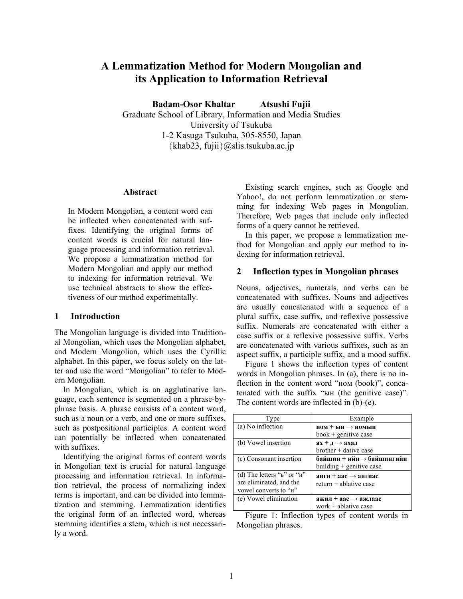# **A Lemmatization Method for Modern Mongolian and its Application to Information Retrieval**

**Badam-Osor Khaltar Atsushi Fujii** 

Graduate School of Library, Information and Media Studies University of Tsukuba 1-2 Kasuga Tsukuba, 305-8550, Japan  $\{khab23, fuiii\}$ @slis.tsukuba.ac.jp

#### **Abstract**

In Modern Mongolian, a content word can be inflected when concatenated with suffixes. Identifying the original forms of content words is crucial for natural language processing and information retrieval. We propose a lemmatization method for Modern Mongolian and apply our method to indexing for information retrieval. We use technical abstracts to show the effectiveness of our method experimentally.

### **1 Introduction**

The Mongolian language is divided into Traditional Mongolian, which uses the Mongolian alphabet, and Modern Mongolian, which uses the Cyrillic alphabet. In this paper, we focus solely on the latter and use the word "Mongolian" to refer to Modern Mongolian.

In Mongolian, which is an agglutinative language, each sentence is segmented on a phrase-byphrase basis. A phrase consists of a content word, such as a noun or a verb, and one or more suffixes, such as postpositional participles. A content word can potentially be inflected when concatenated with suffixes.

Identifying the original forms of content words in Mongolian text is crucial for natural language processing and information retrieval. In information retrieval, the process of normalizing index terms is important, and can be divided into lemmatization and stemming. Lemmatization identifies the original form of an inflected word, whereas stemming identifies a stem, which is not necessarily a word.

Existing search engines, such as Google and Yahoo!, do not perform lemmatization or stemming for indexing Web pages in Mongolian. Therefore, Web pages that include only inflected forms of a query cannot be retrieved.

In this paper, we propose a lemmatization method for Mongolian and apply our method to indexing for information retrieval.

### **2 Inflection types in Mongolian phrases**

Nouns, adjectives, numerals, and verbs can be concatenated with suffixes. Nouns and adjectives are usually concatenated with a sequence of a plural suffix, case suffix, and reflexive possessive suffix. Numerals are concatenated with either a case suffix or a reflexive possessive suffix. Verbs are concatenated with various suffixes, such as an aspect suffix, a participle suffix, and a mood suffix.

Figure 1 shows the inflection types of content words in Mongolian phrases. In (a), there is no inflection in the content word "ном (book)", concatenated with the suffix "ын (the genitive case)". The content words are inflected in (b)-(e).

| Type                               | Example                         |  |
|------------------------------------|---------------------------------|--|
| (a) No inflection                  | $HOM + HHH \rightarrow HOMHH$   |  |
|                                    | $book +$ genitive case          |  |
| (b) Vowel insertion                | $ax + a \rightarrow axa$        |  |
|                                    | $b$ rother + dative case        |  |
| (c) Consonant insertion            | байшин + ийн→ байшингийн        |  |
|                                    | building + genitive case        |  |
| (d) The letters " $b$ " or " $u$ " | анги + аас $\rightarrow$ ангиас |  |
| are eliminated, and the            | $return + ablative case$        |  |
| vowel converts to "u"              |                                 |  |
| (e) Vowel elimination              | ажил + аас $\rightarrow$ ажлаас |  |
|                                    | work $+$ ablative case          |  |

Figure 1: Inflection types of content words in Mongolian phrases.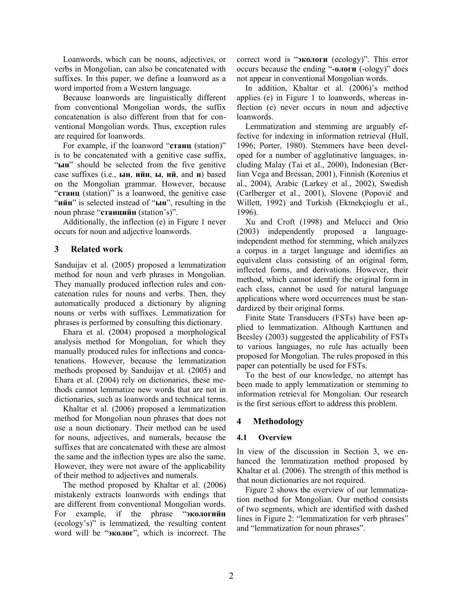Loanwords, which can be nouns, adjectives, or verbs in Mongolian, can also be concatenated with suffixes. In this paper, we define a loanword as a word imported from a Western language.

Because loanwords are linguistically different from conventional Mongolian words, the suffix concatenation is also different from that for conventional Mongolian words. Thus, exception rules are required for loanwords.

For example, if the loanword "**станц** (station)" is to be concatenated with a genitive case suffix, "**ын**" should be selected from the five genitive case suffixes (i.e., **ын**, **ийн**, **ы**, **ий**, and **н**) based on the Mongolian grammar. However, because "**станц** (station)" is a loanword, the genitive case "**ийн**" is selected instead of "**ын**", resulting in the noun phrase "**станцийн** (station's)".

Additionally, the inflection (e) in Figure 1 never occurs for noun and adjective loanwords.

# **3 Related work**

Sanduijav et al. (2005) proposed a lemmatization method for noun and verb phrases in Mongolian. They manually produced inflection rules and concatenation rules for nouns and verbs. Then, they automatically produced a dictionary by aligning nouns or verbs with suffixes. Lemmatization for phrases is performed by consulting this dictionary.

Ehara et al. (2004) proposed a morphological analysis method for Mongolian, for which they manually produced rules for inflections and concatenations. However, because the lemmatization methods proposed by Sanduijav et al. (2005) and Ehara et al. (2004) rely on dictionaries, these methods cannot lemmatize new words that are not in dictionaries, such as loanwords and technical terms.

Khaltar et al. (2006) proposed a lemmatization method for Mongolian noun phrases that does not use a noun dictionary. Their method can be used for nouns, adjectives, and numerals, because the suffixes that are concatenated with these are almost the same and the inflection types are also the same. However, they were not aware of the applicability of their method to adjectives and numerals.

The method proposed by Khaltar et al. (2006) mistakenly extracts loanwords with endings that are different from conventional Mongolian words. For example, if the phrase "**экологийн** (ecology's)" is lemmatized, the resulting content word will be "**эколог**", which is incorrect. The

correct word is "**экологи** (ecology)". This error occurs because the ending "-**ологи** (-ology)" does not appear in conventional Mongolian words.

In addition, Khaltar et al. (2006)'s method applies (e) in Figure 1 to loanwords, whereas inflection (e) never occurs in noun and adjective loanwords.

Lemmatization and stemming are arguably effective for indexing in information retrieval (Hull, 1996; Porter, 1980). Stemmers have been developed for a number of agglutinative languages, including Malay (Tai et al., 2000), Indonesian (Berlian Vega and Bressan, 2001), Finnish (Korenius et al., 2004), Arabic (Larkey et al., 2002), Swedish (Carlberger et al., 2001), Slovene (Popovič and Willett, 1992) and Turkish (Ekmekçioglu et al., 1996).

Xu and Croft (1998) and Melucci and Orio (2003) independently proposed a languageindependent method for stemming, which analyzes a corpus in a target language and identifies an equivalent class consisting of an original form, inflected forms, and derivations. However, their method, which cannot identify the original form in each class, cannot be used for natural language applications where word occurrences must be standardized by their original forms.

Finite State Transducers (FSTs) have been applied to lemmatization. Although Karttunen and Beesley (2003) suggested the applicability of FSTs to various languages, no rule has actually been proposed for Mongolian. The rules proposed in this paper can potentially be used for FSTs.

To the best of our knowledge, no attempt has been made to apply lemmatization or stemming to information retrieval for Mongolian. Our research is the first serious effort to address this problem.

# **4 Methodology**

### **4.1 Overview**

In view of the discussion in Section 3, we enhanced the lemmatization method proposed by Khaltar et al. (2006). The strength of this method is that noun dictionaries are not required.

Figure 2 shows the overview of our lemmatization method for Mongolian. Our method consists of two segments, which are identified with dashed lines in Figure 2: "lemmatization for verb phrases" and "lemmatization for noun phrases".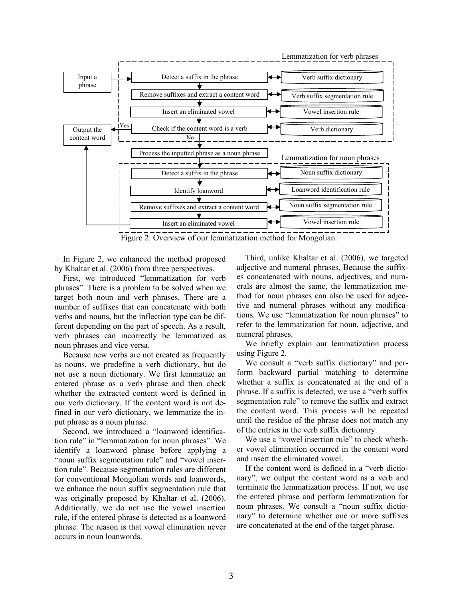

Figure 2: Overview of our lemmatization method for Mongolian.

In Figure 2, we enhanced the method proposed by Khaltar et al. (2006) from three perspectives.

First, we introduced "lemmatization for verb phrases". There is a problem to be solved when we target both noun and verb phrases. There are a number of suffixes that can concatenate with both verbs and nouns, but the inflection type can be different depending on the part of speech. As a result, verb phrases can incorrectly be lemmatized as noun phrases and vice versa.

Because new verbs are not created as frequently as nouns, we predefine a verb dictionary, but do not use a noun dictionary. We first lemmatize an entered phrase as a verb phrase and then check whether the extracted content word is defined in our verb dictionary. If the content word is not defined in our verb dictionary, we lemmatize the input phrase as a noun phrase.

Second, we introduced a "loanword identification rule" in "lemmatization for noun phrases". We identify a loanword phrase before applying a "noun suffix segmentation rule" and "vowel insertion rule". Because segmentation rules are different for conventional Mongolian words and loanwords, we enhance the noun suffix segmentation rule that was originally proposed by Khaltar et al. (2006). Additionally, we do not use the vowel insertion rule, if the entered phrase is detected as a loanword phrase. The reason is that vowel elimination never occurs in noun loanwords.

Third, unlike Khaltar et al. (2006), we targeted adjective and numeral phrases. Because the suffixes concatenated with nouns, adjectives, and numerals are almost the same, the lemmatization method for noun phrases can also be used for adjective and numeral phrases without any modifications. We use "lemmatization for noun phrases" to refer to the lemmatization for noun, adjective, and numeral phrases.

We briefly explain our lemmatization process using Figure 2.

We consult a "verb suffix dictionary" and perform backward partial matching to determine whether a suffix is concatenated at the end of a phrase. If a suffix is detected, we use a "verb suffix segmentation rule" to remove the suffix and extract the content word. This process will be repeated until the residue of the phrase does not match any of the entries in the verb suffix dictionary.

We use a "vowel insertion rule" to check whether vowel elimination occurred in the content word and insert the eliminated vowel.

If the content word is defined in a "verb dictionary", we output the content word as a verb and terminate the lemmatization process. If not, we use the entered phrase and perform lemmatization for noun phrases. We consult a "noun suffix dictionary" to determine whether one or more suffixes are concatenated at the end of the target phrase.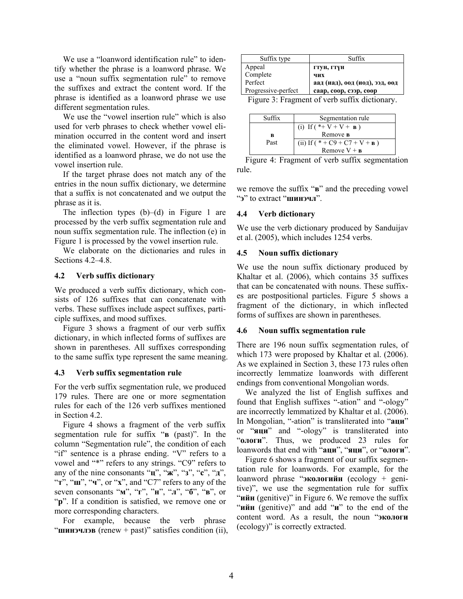We use a "loanword identification rule" to identify whether the phrase is a loanword phrase. We use a "noun suffix segmentation rule" to remove the suffixes and extract the content word. If the phrase is identified as a loanword phrase we use different segmentation rules.

We use the "vowel insertion rule" which is also used for verb phrases to check whether vowel elimination occurred in the content word and insert the eliminated vowel. However, if the phrase is identified as a loanword phrase, we do not use the vowel insertion rule.

If the target phrase does not match any of the entries in the noun suffix dictionary, we determine that a suffix is not concatenated and we output the phrase as it is.

The inflection types  $(b)$ – $(d)$  in Figure 1 are processed by the verb suffix segmentation rule and noun suffix segmentation rule. The inflection (e) in Figure 1 is processed by the vowel insertion rule.

We elaborate on the dictionaries and rules in Sections 4.2–4.8.

## **4.2 Verb suffix dictionary**

We produced a verb suffix dictionary, which consists of 126 suffixes that can concatenate with verbs. These suffixes include aspect suffixes, participle suffixes, and mood suffixes.

Figure 3 shows a fragment of our verb suffix dictionary, in which inflected forms of suffixes are shown in parentheses. All suffixes corresponding to the same suffix type represent the same meaning.

### **4.3 Verb suffix segmentation rule**

For the verb suffix segmentation rule, we produced 179 rules. There are one or more segmentation rules for each of the 126 verb suffixes mentioned in Section 4.2.

Figure 4 shows a fragment of the verb suffix segmentation rule for suffix "**в** (past)". In the column "Segmentation rule", the condition of each "if" sentence is a phrase ending. "V" refers to a vowel and "\*" refers to any strings. "C9" refers to any of the nine consonants "**ц**", "**ж**", "**з**", "**с**", "**д**", "**т**", "**ш**", "**ч**", or "**х**", and "C7" refers to any of the seven consonants "**м**", "**г**", "**н**", "**л**", "**б**", "**в**", or "p". If a condition is satisfied, we remove one or more corresponding characters.

For example, because the verb phrase "**шинэчлэв** (renew + past)" satisfies condition (ii),

| Suffix type         | Suffix                         |  |
|---------------------|--------------------------------|--|
| Appeal              | гтун, гтүн                     |  |
| Complete            | чих                            |  |
| Perfect             | аад (иад), оод (иод), ээд, өөд |  |
| Progressive-perfect | саар, соор, сээр, сөөр         |  |
|                     | $\sim$ $\sim$                  |  |

Figure 3: Fragment of verb suffix dictionary.

| Suffix | Segmentation rule                 |
|--------|-----------------------------------|
|        | (i) If $(*+V+V+ B)$               |
| B      | Remove <b>B</b>                   |
| Past   | (ii) If ( $* + C9 + C7 + V + B$ ) |
|        | Remove $V + B$                    |

Figure 4: Fragment of verb suffix segmentation rule.

we remove the suffix "**в**" and the preceding vowel "**э**" to extract "**шинэчл**".

## **4.4 Verb dictionary**

We use the verb dictionary produced by Sanduijav et al. (2005), which includes 1254 verbs.

## **4.5 Noun suffix dictionary**

We use the noun suffix dictionary produced by Khaltar et al. (2006), which contains 35 suffixes that can be concatenated with nouns. These suffixes are postpositional particles. Figure 5 shows a fragment of the dictionary, in which inflected forms of suffixes are shown in parentheses.

### **4.6 Noun suffix segmentation rule**

There are 196 noun suffix segmentation rules, of which 173 were proposed by Khaltar et al. (2006). As we explained in Section 3, these 173 rules often incorrectly lemmatize loanwords with different endings from conventional Mongolian words.

We analyzed the list of English suffixes and found that English suffixes "-ation" and "-ology" are incorrectly lemmatized by Khaltar et al. (2006). In Mongolian, "-ation" is transliterated into "**аци**" or "**яци**" and "-ology" is transliterated into "**ологи**". Thus, we produced 23 rules for loanwords that end with "**аци**", "**яци**", or "**ологи**".

Figure 6 shows a fragment of our suffix segmentation rule for loanwords. For example, for the loanword phrase "**экологийн** (ecology + genitive)", we use the segmentation rule for suffix "**ийн** (genitive)" in Figure 6. We remove the suffix "**ийн** (genitive)" and add "**и**" to the end of the content word. As a result, the noun "**экологи** (ecology)" is correctly extracted.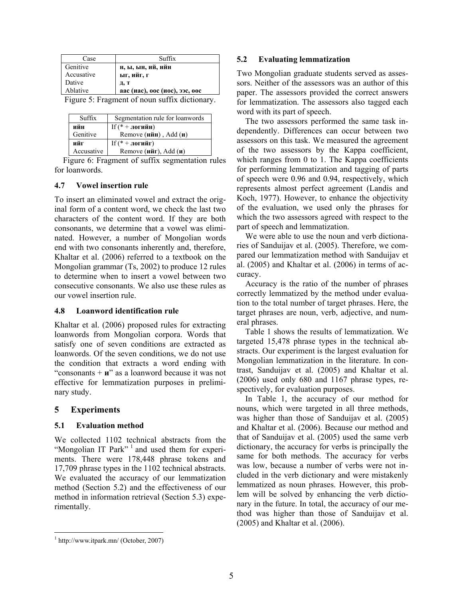| Case                                          | Suffix                         |  |
|-----------------------------------------------|--------------------------------|--|
| Genitive                                      | н, ы, ын, ий, ийн              |  |
| Accusative                                    | ыг, ийг, г                     |  |
| Dative                                        | Д, Т                           |  |
| Ablative                                      | аас (иас), оос (иос), ээс, өөс |  |
| Figure 5: Fragment of noun suffix dictionary. |                                |  |

| Suffix     | Segmentation rule for loanwords   |
|------------|-----------------------------------|
| ийн        | If $(* + \pi$ огийн)              |
| Genitive   | Remove $(n\text{йн})$ , Add $(n)$ |
| ийг        | If $(* + \pi$ огийг)              |
| Accusative | Remove (ийг), Add $(u)$           |

Figure 6: Fragment of suffix segmentation rules for loanwords.

# **4.7 Vowel insertion rule**

To insert an eliminated vowel and extract the original form of a content word, we check the last two characters of the content word. If they are both consonants, we determine that a vowel was eliminated. However, a number of Mongolian words end with two consonants inherently and, therefore, Khaltar et al. (2006) referred to a textbook on the Mongolian grammar (Ts, 2002) to produce 12 rules to determine when to insert a vowel between two consecutive consonants. We also use these rules as our vowel insertion rule.

### **4.8 Loanword identification rule**

Khaltar et al. (2006) proposed rules for extracting loanwords from Mongolian corpora. Words that satisfy one of seven conditions are extracted as loanwords. Of the seven conditions, we do not use the condition that extracts a word ending with "consonants + **и**" as a loanword because it was not effective for lemmatization purposes in preliminary study.

# **5 Experiments**

# **5.1 Evaluation method**

We collected 1102 technical abstracts from the "Mongolian IT Park"<sup>1</sup> and used them for experiments. There were 178,448 phrase tokens and 17,709 phrase types in the 1102 technical abstracts. We evaluated the accuracy of our lemmatization method (Section 5.2) and the effectiveness of our method in information retrieval (Section 5.3) experimentally.

# **5.2 Evaluating lemmatization**

Two Mongolian graduate students served as assessors. Neither of the assessors was an author of this paper. The assessors provided the correct answers for lemmatization. The assessors also tagged each word with its part of speech.

The two assessors performed the same task independently. Differences can occur between two assessors on this task. We measured the agreement of the two assessors by the Kappa coefficient, which ranges from 0 to 1. The Kappa coefficients for performing lemmatization and tagging of parts of speech were 0.96 and 0.94, respectively, which represents almost perfect agreement (Landis and Koch, 1977). However, to enhance the objectivity of the evaluation, we used only the phrases for which the two assessors agreed with respect to the part of speech and lemmatization.

We were able to use the noun and verb dictionaries of Sanduijav et al. (2005). Therefore, we compared our lemmatization method with Sanduijav et al. (2005) and Khaltar et al. (2006) in terms of accuracy.

Accuracy is the ratio of the number of phrases correctly lemmatized by the method under evaluation to the total number of target phrases. Here, the target phrases are noun, verb, adjective, and numeral phrases.

Table 1 shows the results of lemmatization. We targeted 15,478 phrase types in the technical abstracts. Our experiment is the largest evaluation for Mongolian lemmatization in the literature. In contrast, Sanduijav et al. (2005) and Khaltar et al. (2006) used only 680 and 1167 phrase types, respectively, for evaluation purposes.

In Table 1, the accuracy of our method for nouns, which were targeted in all three methods, was higher than those of Sanduijav et al. (2005) and Khaltar et al. (2006). Because our method and that of Sanduijav et al. (2005) used the same verb dictionary, the accuracy for verbs is principally the same for both methods. The accuracy for verbs was low, because a number of verbs were not included in the verb dictionary and were mistakenly lemmatized as noun phrases. However, this problem will be solved by enhancing the verb dictionary in the future. In total, the accuracy of our method was higher than those of Sanduijav et al. (2005) and Khaltar et al. (2006).

 1 http://www.itpark.mn/ (October, 2007)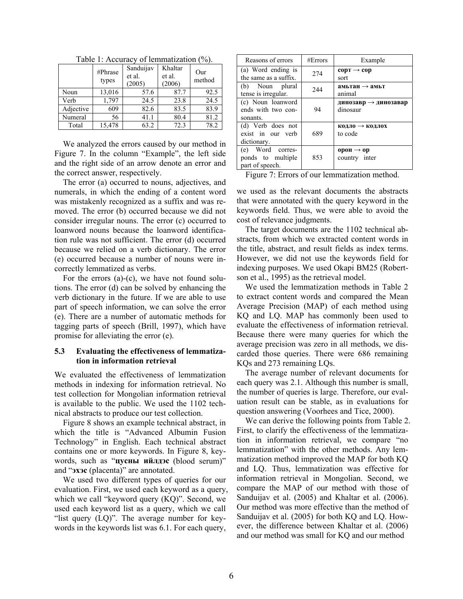|           | #Phrase<br>types | Sanduijav<br>et al.<br>(2005) | Khaltar<br>et al.<br>(2006) | Our<br>method |
|-----------|------------------|-------------------------------|-----------------------------|---------------|
| Noun      | 13,016           | 57.6                          | 87.7                        | 92.5          |
| Verb      | 1,797            | 24.5                          | 23.8                        | 24.5          |
| Adjective | 609              | 82.6                          | 83.5                        | 83.9          |
| Numeral   | 56               | 41.1                          | 80.4                        | 81.2          |
| Total     | 15,478           | 63.2                          | 72.3                        | 78.2          |

Table 1: Accuracy of lemmatization (%).

We analyzed the errors caused by our method in Figure 7. In the column "Example", the left side and the right side of an arrow denote an error and the correct answer, respectively.

The error (a) occurred to nouns, adjectives, and numerals, in which the ending of a content word was mistakenly recognized as a suffix and was removed. The error (b) occurred because we did not consider irregular nouns. The error (c) occurred to loanword nouns because the loanword identification rule was not sufficient. The error (d) occurred because we relied on a verb dictionary. The error (e) occurred because a number of nouns were incorrectly lemmatized as verbs.

For the errors (a)-(c), we have not found solutions. The error (d) can be solved by enhancing the verb dictionary in the future. If we are able to use part of speech information, we can solve the error (e). There are a number of automatic methods for tagging parts of speech (Brill, 1997), which have promise for alleviating the error (e).

#### **5.3 Evaluating the effectiveness of lemmatization in information retrieval**

We evaluated the effectiveness of lemmatization methods in indexing for information retrieval. No test collection for Mongolian information retrieval is available to the public. We used the 1102 technical abstracts to produce our test collection.

Figure 8 shows an example technical abstract, in which the title is "Advanced Albumin Fusion Technology" in English. Each technical abstract contains one or more keywords. In Figure 8, keywords, such as "**цусны ийлдэс** (blood serum)" and "**эхэс** (placenta)" are annotated.

We used two different types of queries for our evaluation. First, we used each keyword as a query, which we call "keyword query (KQ)". Second, we used each keyword list as a query, which we call "list query (LQ)". The average number for keywords in the keywords list was 6.1. For each query,

| Reasons of errors                                        | #Errors | Example                                      |
|----------------------------------------------------------|---------|----------------------------------------------|
| (a) Word ending is<br>the same as a suffix.              | 274     | $\text{cop} \rightarrow \text{cop}$<br>sort  |
| (b) Noun plural<br>tense is irregular.                   | 244     | амьтан $\rightarrow$ амьт<br>animal          |
| (c) Noun loanword<br>ends with two con-<br>sonants.      | 94      | динозавр $\rightarrow$ динозавар<br>dinosaur |
| (d) Verb does not<br>exist in our verb<br>dictionary.    | 689     | $K$ одло $\rightarrow$ кодлох<br>to code     |
| (e) Word corres-<br>ponds to multiple<br>part of speech. | 853     | орон $\rightarrow$ ор<br>country inter       |

Figure 7: Errors of our lemmatization method.

we used as the relevant documents the abstracts that were annotated with the query keyword in the keywords field. Thus, we were able to avoid the cost of relevance judgments.

The target documents are the 1102 technical abstracts, from which we extracted content words in the title, abstract, and result fields as index terms. However, we did not use the keywords field for indexing purposes. We used Okapi BM25 (Robertson et al., 1995) as the retrieval model.

We used the lemmatization methods in Table 2 to extract content words and compared the Mean Average Precision (MAP) of each method using KQ and LQ. MAP has commonly been used to evaluate the effectiveness of information retrieval. Because there were many queries for which the average precision was zero in all methods, we discarded those queries. There were 686 remaining KQs and 273 remaining LQs.

The average number of relevant documents for each query was 2.1. Although this number is small, the number of queries is large. Therefore, our evaluation result can be stable, as in evaluations for question answering (Voorhees and Tice, 2000).

We can derive the following points from Table 2. First, to clarify the effectiveness of the lemmatization in information retrieval, we compare "no lemmatization" with the other methods. Any lemmatization method improved the MAP for both KQ and LQ. Thus, lemmatization was effective for information retrieval in Mongolian. Second, we compare the MAP of our method with those of Sanduijav et al. (2005) and Khaltar et al. (2006). Our method was more effective than the method of Sanduijav et al. (2005) for both KQ and LQ. However, the difference between Khaltar et al. (2006) and our method was small for KQ and our method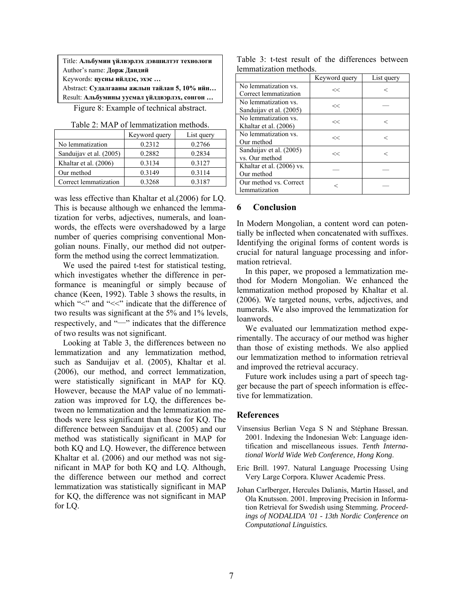Title: **Альбумин үйлвэрлэх дэвшилтэт технологи** Author's name: **Дорж Дандий** Keywords: **цусны ийлдэс, эхэс …** Abstract: **Судалгааны ажлын тайлан 5, 10% ийн…**  Result: **Альбумины уусмал үйлдвэрлэх, сонгон …** 

Figure 8: Example of technical abstract.

|  | Table 2: MAP of lemmatization methods. |
|--|----------------------------------------|
|--|----------------------------------------|

|                         | Keyword query | List query |
|-------------------------|---------------|------------|
| No lemmatization        | 0.2312        | 0.2766     |
| Sanduijav et al. (2005) | 0.2882        | 0.2834     |
| Khaltar et al. (2006)   | 0.3134        | 0.3127     |
| Our method              | 0.3149        | 0.3114     |
| Correct lemmatization   | 0.3268        | 0 3 1 8 7  |

was less effective than Khaltar et al.(2006) for LQ. This is because although we enhanced the lemmatization for verbs, adjectives, numerals, and loanwords, the effects were overshadowed by a large number of queries comprising conventional Mongolian nouns. Finally, our method did not outperform the method using the correct lemmatization.

We used the paired t-test for statistical testing, which investigates whether the difference in performance is meaningful or simply because of chance (Keen, 1992). Table 3 shows the results, in which "<" and "<<" indicate that the difference of two results was significant at the 5% and 1% levels, respectively, and "―" indicates that the difference of two results was not significant.

Looking at Table 3, the differences between no lemmatization and any lemmatization method, such as Sanduijav et al. (2005), Khaltar et al. (2006), our method, and correct lemmatization, were statistically significant in MAP for KQ. However, because the MAP value of no lemmatization was improved for LQ, the differences between no lemmatization and the lemmatization methods were less significant than those for KQ. The difference between Sanduijav et al. (2005) and our method was statistically significant in MAP for both KQ and LQ. However, the difference between Khaltar et al. (2006) and our method was not significant in MAP for both KQ and LQ. Although, the difference between our method and correct lemmatization was statistically significant in MAP for KQ, the difference was not significant in MAP for LQ.

Table 3: t-test result of the differences between lemmatization methods.

|                                                 | Keyword query | List query |
|-------------------------------------------------|---------------|------------|
| No lemmatization vs.<br>Correct lemmatization   | <<            |            |
| No lemmatization vs.<br>Sanduijav et al. (2005) | <<            |            |
| No lemmatization vs.<br>Khaltar et al. (2006)   | <<            | <          |
| No lemmatization vs.<br>Our method              | <<            | <          |
| Sanduijav et al. (2005)<br>vs. Our method       | <<            | <          |
| Khaltar et al. (2006) vs.<br>Our method         |               |            |
| Our method vs. Correct<br>lemmatization         |               |            |

#### **6 Conclusion**

In Modern Mongolian, a content word can potentially be inflected when concatenated with suffixes. Identifying the original forms of content words is crucial for natural language processing and information retrieval.

In this paper, we proposed a lemmatization method for Modern Mongolian. We enhanced the lemmatization method proposed by Khaltar et al. (2006). We targeted nouns, verbs, adjectives, and numerals. We also improved the lemmatization for loanwords.

We evaluated our lemmatization method experimentally. The accuracy of our method was higher than those of existing methods. We also applied our lemmatization method to information retrieval and improved the retrieval accuracy.

Future work includes using a part of speech tagger because the part of speech information is effective for lemmatization.

#### **References**

- Vinsensius Berlian Vega S N and Stéphane Bressan. 2001. Indexing the Indonesian Web: Language identification and miscellaneous issues. *Tenth International World Wide Web Conference, Hong Kong*.
- Eric Brill. 1997. Natural Language Processing Using Very Large Corpora. Kluwer Academic Press.
- Johan Carlberger, Hercules Dalianis, Martin Hassel, and Ola Knutsson. 2001. Improving Precision in Information Retrieval for Swedish using Stemming*. Proceedings of NODALIDA '01 - 13th Nordic Conference on Computational Linguistics.*